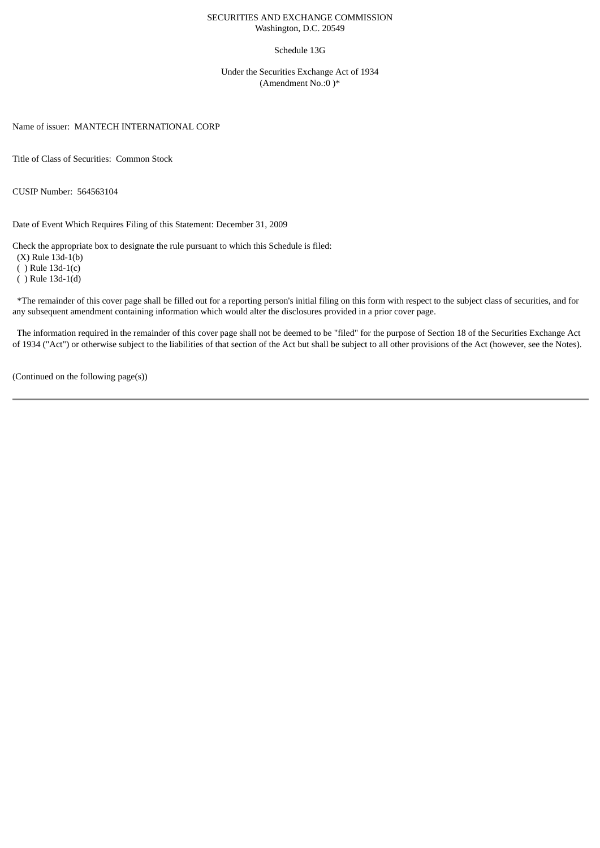### SECURITIES AND EXCHANGE COMMISSION Washington, D.C. 20549

#### Schedule 13G

Under the Securities Exchange Act of 1934 (Amendment No.:0 )\*

Name of issuer: MANTECH INTERNATIONAL CORP

Title of Class of Securities: Common Stock

CUSIP Number: 564563104

Date of Event Which Requires Filing of this Statement: December 31, 2009

Check the appropriate box to designate the rule pursuant to which this Schedule is filed:

(X) Rule 13d-1(b)

( ) Rule 13d-1(c)

( ) Rule 13d-1(d)

\*The remainder of this cover page shall be filled out for a reporting person's initial filing on this form with respect to the subject class of securities, and for any subsequent amendment containing information which would alter the disclosures provided in a prior cover page.

The information required in the remainder of this cover page shall not be deemed to be "filed" for the purpose of Section 18 of the Securities Exchange Act of 1934 ("Act") or otherwise subject to the liabilities of that section of the Act but shall be subject to all other provisions of the Act (however, see the Notes).

(Continued on the following page(s))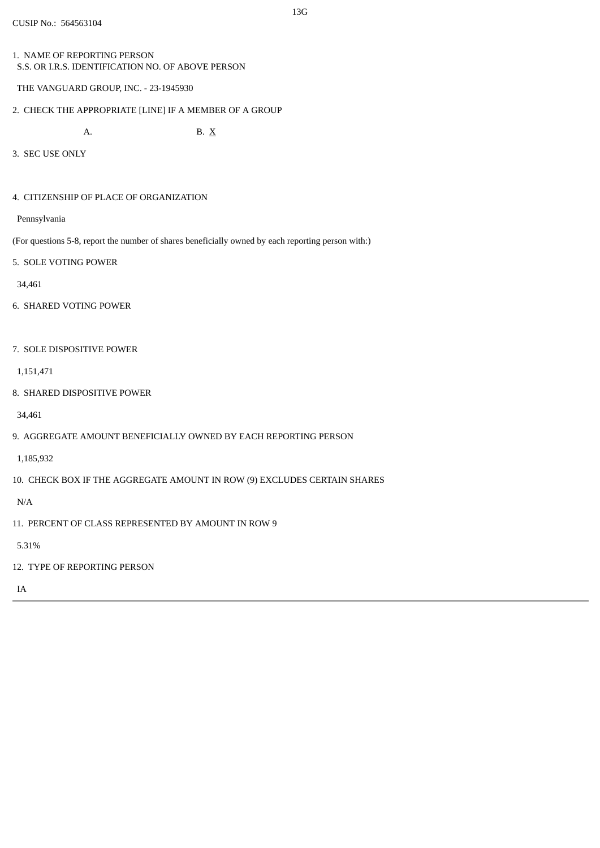1. NAME OF REPORTING PERSON S.S. OR I.R.S. IDENTIFICATION NO. OF ABOVE PERSON

```
THE VANGUARD GROUP, INC. - 23-1945930
```
2. CHECK THE APPROPRIATE [LINE] IF A MEMBER OF A GROUP

A. B.  $X$ 

3. SEC USE ONLY

4. CITIZENSHIP OF PLACE OF ORGANIZATION

Pennsylvania

- (For questions 5-8, report the number of shares beneficially owned by each reporting person with:)
- 5. SOLE VOTING POWER

34,461

- 6. SHARED VOTING POWER
- 7. SOLE DISPOSITIVE POWER

1,151,471

8. SHARED DISPOSITIVE POWER

34,461

9. AGGREGATE AMOUNT BENEFICIALLY OWNED BY EACH REPORTING PERSON

1,185,932

10. CHECK BOX IF THE AGGREGATE AMOUNT IN ROW (9) EXCLUDES CERTAIN SHARES

N/A

11. PERCENT OF CLASS REPRESENTED BY AMOUNT IN ROW 9

5.31%

12. TYPE OF REPORTING PERSON

IA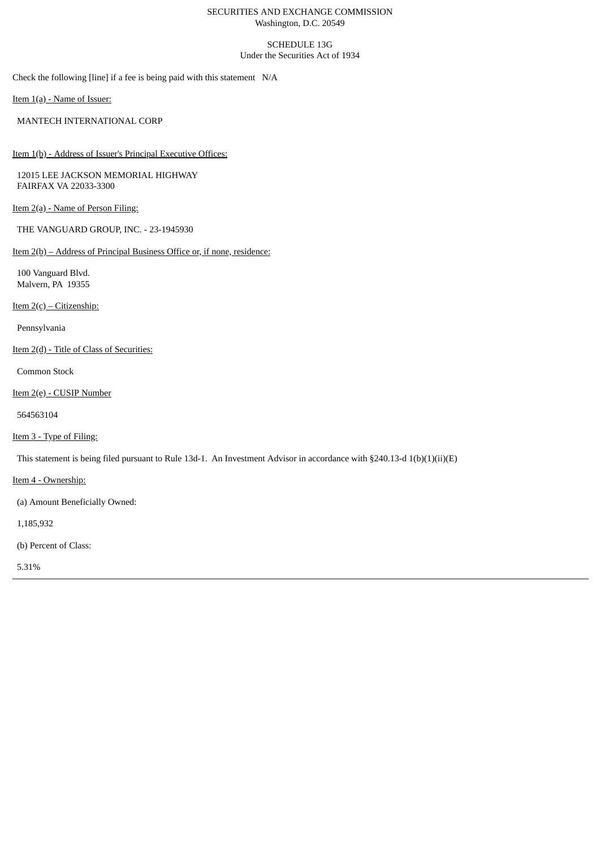### SECURITIES AND EXCHANGE COMMISSION Washington, D.C. 20549

# SCHEDULE 13G Under the Securities Act of 1934

Check the following [line] if a fee is being paid with this statement N/A

Item 1(a) - Name of Issuer:

MANTECH INTERNATIONAL CORP

Item 1(b) - Address of Issuer's Principal Executive Offices:

12015 LEE JACKSON MEMORIAL HIGHWAY FAIRFAX VA 22033-3300

Item 2(a) - Name of Person Filing:

THE VANGUARD GROUP, INC. - 23-1945930

Item 2(b) – Address of Principal Business Office or, if none, residence:

100 Vanguard Blvd. Malvern, PA 19355

Item  $2(c)$  – Citizenship:

Pennsylvania

Item 2(d) - Title of Class of Securities:

Common Stock

Item 2(e) - CUSIP Number

564563104

Item 3 - Type of Filing:

This statement is being filed pursuant to Rule 13d-1. An Investment Advisor in accordance with §240.13-d 1(b)(1)(ii)(E)

Item 4 - Ownership:

(a) Amount Beneficially Owned:

1,185,932

(b) Percent of Class:

5.31%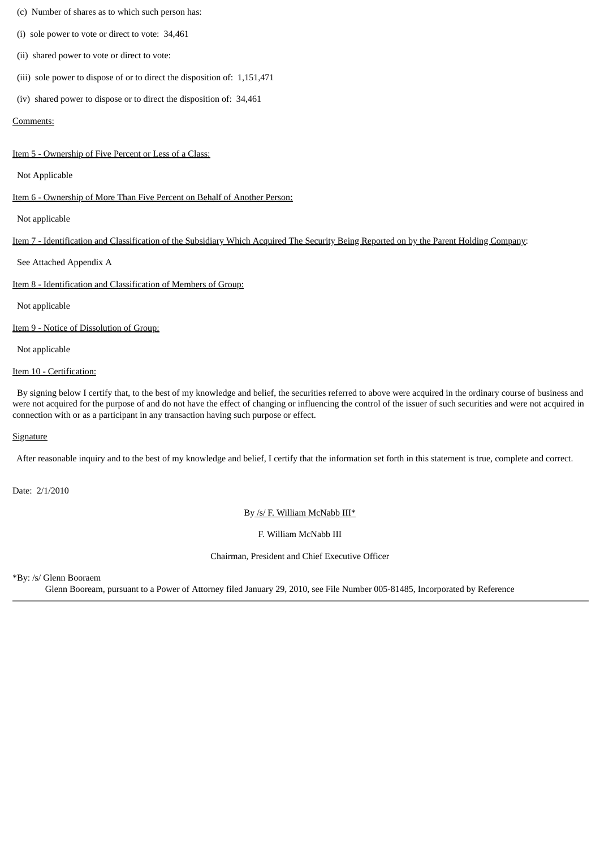### (c) Number of shares as to which such person has:

- (i) sole power to vote or direct to vote: 34,461
- (ii) shared power to vote or direct to vote:
- (iii) sole power to dispose of or to direct the disposition of: 1,151,471
- (iv) shared power to dispose or to direct the disposition of: 34,461

#### Comments:

#### Item 5 - Ownership of Five Percent or Less of a Class:

Not Applicable

Item 6 - Ownership of More Than Five Percent on Behalf of Another Person:

Not applicable

### Item 7 - Identification and Classification of the Subsidiary Which Acquired The Security Being Reported on by the Parent Holding Company:

See Attached Appendix A

Item 8 - Identification and Classification of Members of Group:

Not applicable

Item 9 - Notice of Dissolution of Group:

Not applicable

## Item 10 - Certification:

By signing below I certify that, to the best of my knowledge and belief, the securities referred to above were acquired in the ordinary course of business and were not acquired for the purpose of and do not have the effect of changing or influencing the control of the issuer of such securities and were not acquired in connection with or as a participant in any transaction having such purpose or effect.

### **Signature**

After reasonable inquiry and to the best of my knowledge and belief, I certify that the information set forth in this statement is true, complete and correct.

Date: 2/1/2010

By /s/ F. William McNabb III\*

F. William McNabb III

Chairman, President and Chief Executive Officer

\*By: /s/ Glenn Booraem

Glenn Booream, pursuant to a Power of Attorney filed January 29, 2010, see File Number 005-81485, Incorporated by Reference